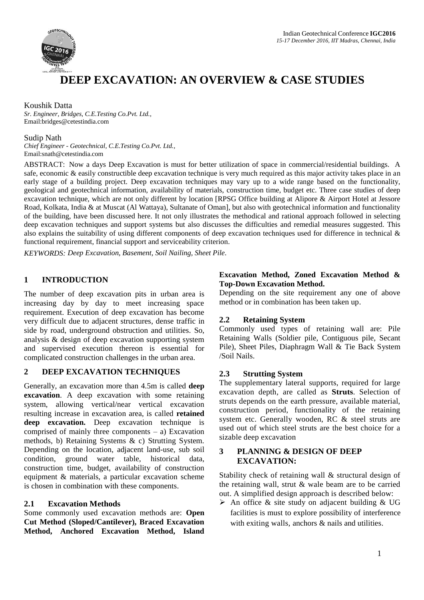

# **DEEP EXCAVATION: AN OVERVIEW & CASE STUDIES**

#### Koushik Datta

*Sr. Engineer, Bridges, C.E.Testing Co.Pvt. Ltd.,* Email:bridges@cetestindia.com

#### Sudip Nath

*Chief Engineer - Geotechnical, C.E.Testing Co.Pvt. Ltd.,* Email:snath@cetestindia.com

ABSTRACT: Now a days Deep Excavation is must for better utilization of space in commercial/residential buildings. A safe, economic & easily constructible deep excavation technique is very much required as this major activity takes place in an early stage of a building project. Deep excavation techniques may vary up to a wide range based on the functionality, geological and geotechnical information, availability of materials, construction time, budget etc. Three case studies of deep excavation technique, which are not only different by location [RPSG Office building at Alipore & Airport Hotel at Jessore Road, Kolkata, India & at Muscat (Al Wattaya), Sultanate of Oman], but also with geotechnical information and functionality of the building, have been discussed here. It not only illustrates the methodical and rational approach followed in selecting deep excavation techniques and support systems but also discusses the difficulties and remedial measures suggested. This also explains the suitability of using different components of deep excavation techniques used for difference in technical  $\&$ functional requirement, financial support and serviceability criterion.

*KEYWORDS: Deep Excavation, Basement, Soil Nailing, Sheet Pile.*

## **1 INTRODUCTION**

The number of deep excavation pits in urban area is increasing day by day to meet increasing space requirement. Execution of deep excavation has become very difficult due to adjacent structures, dense traffic in side by road, underground obstruction and utilities. So, analysis & design of deep excavation supporting system and supervised execution thereon is essential for complicated construction challenges in the urban area.

## **2 DEEP EXCAVATION TECHNIQUES**

Generally, an excavation more than 4.5m is called **deep excavation**. A deep excavation with some retaining system, allowing vertical/near vertical excavation resulting increase in excavation area, is called **retained deep excavation.** Deep excavation technique is comprised of mainly three components  $-$  a) Excavation methods, b) Retaining Systems & c) Strutting System. Depending on the location, adjacent land-use, sub soil condition, ground water table, historical data, construction time, budget, availability of construction equipment & materials, a particular excavation scheme is chosen in combination with these components.

## **2.1 Excavation Methods**

Some commonly used excavation methods are: **Open Cut Method (Sloped/Cantilever), Braced Excavation Method, Anchored Excavation Method, Island** 

#### **Excavation Method, Zoned Excavation Method & Top-Down Excavation Method.**

Depending on the site requirement any one of above method or in combination has been taken up.

## **2.2 Retaining System**

Commonly used types of retaining wall are: Pile Retaining Walls (Soldier pile, Contiguous pile, Secant Pile), Sheet Piles, Diaphragm Wall & Tie Back System /Soil Nails.

#### **2.3 Strutting System**

The supplementary lateral supports, required for large excavation depth, are called as **Struts**. Selection of struts depends on the earth pressure, available material, construction period, functionality of the retaining system etc. Generally wooden, RC & steel struts are used out of which steel struts are the best choice for a sizable deep excavation

#### **3 PLANNING & DESIGN OF DEEP EXCAVATION:**

Stability check of retaining wall & structural design of the retaining wall, strut & wale beam are to be carried out. A simplified design approach is described below:

 $\triangleright$  An office & site study on adjacent building & UG facilities is must to explore possibility of interference with exiting walls, anchors & nails and utilities.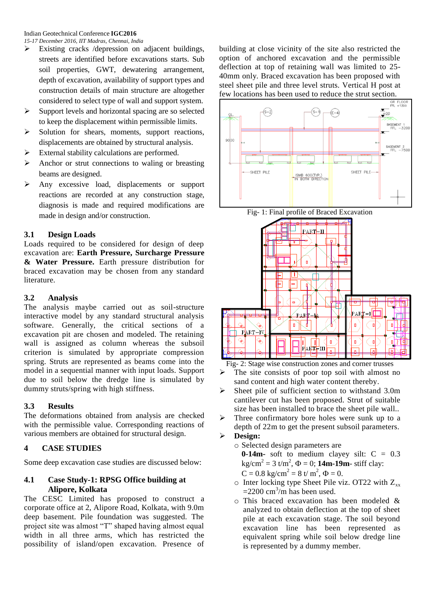- $\triangleright$  Existing cracks /depression on adjacent buildings, streets are identified before excavations starts. Sub soil properties, GWT, dewatering arrangement, depth of excavation, availability of support types and construction details of main structure are altogether considered to select type of wall and support system.
- $\triangleright$  Support levels and horizontal spacing are so selected to keep the displacement within permissible limits.
- Solution for shears, moments, support reactions, displacements are obtained by structural analysis.
- External stability calculations are performed.
- $\triangleright$  Anchor or strut connections to waling or breasting beams are designed.
- Any excessive load, displacements or support reactions are recorded at any construction stage, diagnosis is made and required modifications are made in design and/or construction.

## **3.1 Design Loads**

Loads required to be considered for design of deep excavation are: **Earth Pressure, Surcharge Pressure & Water Pressure.** Earth pressure distribution for braced excavation may be chosen from any standard literature.

#### **3.2 Analysis**

The analysis maybe carried out as soil-structure interactive model by any standard structural analysis software. Generally, the critical sections of a excavation pit are chosen and modeled. The retaining wall is assigned as column whereas the subsoil criterion is simulated by appropriate compression spring. Struts are represented as beams come into the model in a sequential manner with input loads. Support due to soil below the dredge line is simulated by dummy struts/spring with high stiffness.

## **3.3 Results**

The deformations obtained from analysis are checked with the permissible value. Corresponding reactions of various members are obtained for structural design.

## **4 CASE STUDIES**

Some deep excavation case studies are discussed below:

## **4.1 Case Study-1: RPSG Office building at Alipore, Kolkata**

The CESC Limited has proposed to construct a corporate office at 2, Alipore Road, Kolkata, with 9.0m deep basement. Pile foundation was suggested. The project site was almost "T" shaped having almost equal width in all three arms, which has restricted the possibility of island/open excavation. Presence of

building at close vicinity of the site also restricted the option of anchored excavation and the permissible deflection at top of retaining wall was limited to 25- 40mm only. Braced excavation has been proposed with steel sheet pile and three level struts. Vertical H post at few locations has been used to reduce the strut section.







Fig- 2: Stage wise construction zones and corner trusses

- $\triangleright$  The site consists of poor top soil with almost no sand content and high water content thereby.
- $\triangleright$  Sheet pile of sufficient section to withstand 3.0m cantilever cut has been proposed. Strut of suitable size has been installed to brace the sheet pile wall..
- Three confirmatory bore holes were sunk up to a depth of 22m to get the present subsoil parameters.

# **Design:**

- o Selected design parameters are
	- **0-14m-** soft to medium clayey silt:  $C = 0.3$  $kg/cm^{2} = 3$  t/m<sup>2</sup>,  $\Phi = 0$ ; **14m-19m**- stiff clay:
	- $C = 0.8$  kg/cm<sup>2</sup> = 8 t/ m<sup>2</sup>,  $\Phi = 0$ .
- $\circ$  Inter locking type Sheet Pile viz. OT22 with  $Z_{xx}$  $=$  2200 cm<sup>3</sup>/m has been used.
- o This braced excavation has been modeled & analyzed to obtain deflection at the top of sheet pile at each excavation stage. The soil beyond excavation line has been represented as equivalent spring while soil below dredge line is represented by a dummy member.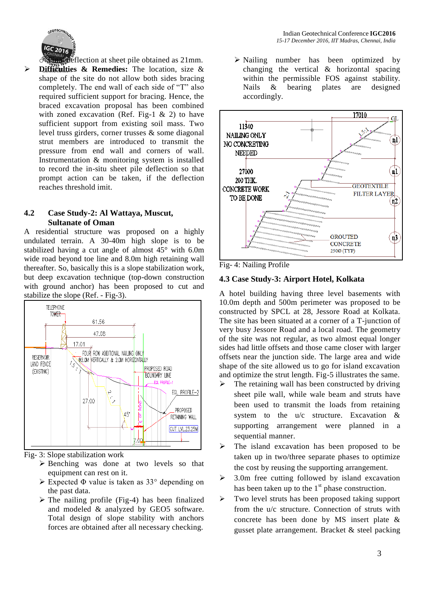

deflection at sheet pile obtained as 21mm. **Difficulties & Remedies:** The location, size & shape of the site do not allow both sides bracing completely. The end wall of each side of "T" also required sufficient support for bracing. Hence, the braced excavation proposal has been combined with zoned excavation (Ref. Fig-1  $\&$  2) to have sufficient support from existing soil mass. Two level truss girders, corner trusses & some diagonal strut members are introduced to transmit the pressure from end wall and corners of wall. Instrumentation & monitoring system is installed to record the in-situ sheet pile deflection so that prompt action can be taken, if the deflection reaches threshold imit.

#### **4.2 Case Study-2: Al Wattaya, Muscut, Sultanate of Oman**

A residential structure was proposed on a highly undulated terrain. A 30-40m high slope is to be stabilized having a cut angle of almost 45° with 6.0m wide road beyond toe line and 8.0m high retaining wall thereafter. So, basically this is a slope stabilization work, but deep excavation technique (top-down construction with ground anchor) has been proposed to cut and stabilize the slope (Ref. - Fig-3).



Fig- 3: Slope stabilization work

- Benching was done at two levels so that equipment can rest on it.
- Expected Φ value is taken as 33° depending on the past data.
- $\triangleright$  The nailing profile (Fig-4) has been finalized and modeled & analyzed by GEO5 software. Total design of slope stability with anchors forces are obtained after all necessary checking.

 Nailing number has been optimized by changing the vertical & horizontal spacing within the permissible FOS against stability. Nails & bearing plates are designed accordingly.



Fig- 4: Nailing Profile

## **4.3 Case Study-3: Airport Hotel, Kolkata**

A hotel building having three level basements with 10.0m depth and 500m perimeter was proposed to be constructed by SPCL at 28, Jessore Road at Kolkata. The site has been situated at a corner of a T-junction of very busy Jessore Road and a local road. The geometry of the site was not regular, as two almost equal longer sides had little offsets and those came closer with larger offsets near the junction side. The large area and wide shape of the site allowed us to go for island excavation and optimize the strut length. Fig-5 illustrates the same.

- The retaining wall has been constructed by driving sheet pile wall, while wale beam and struts have been used to transmit the loads from retaining system to the u/c structure. Excavation & supporting arrangement were planned in a sequential manner.
- $\triangleright$  The island excavation has been proposed to be taken up in two/three separate phases to optimize the cost by reusing the supporting arrangement.
- $\geq$  3.0m free cutting followed by island excavation has been taken up to the  $1<sup>st</sup>$  phase construction.
- $\triangleright$  Two level struts has been proposed taking support from the u/c structure. Connection of struts with concrete has been done by MS insert plate & gusset plate arrangement. Bracket & steel packing